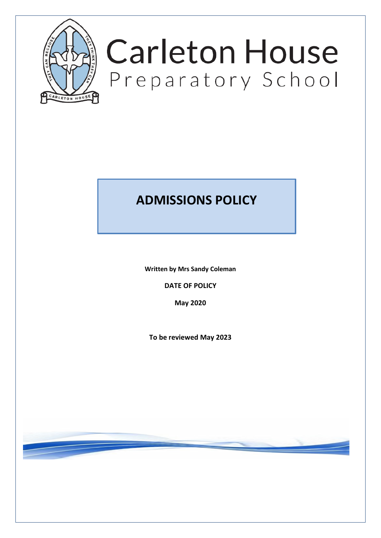

# **Carleton House** Preparatory School

# **ADMISSIONS POLICY**

**Written by Mrs Sandy Coleman**

**DATE OF POLICY**

**May 2020** 

**To be reviewed May 2023**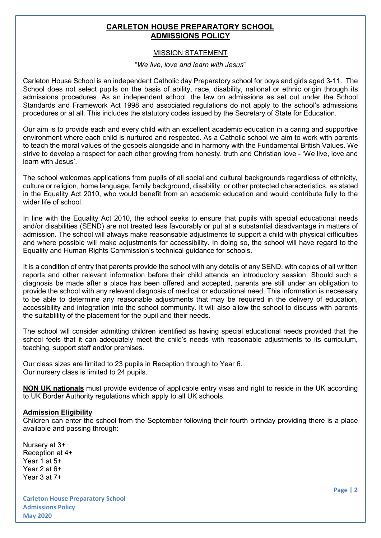# **CARLETON HOUSE PREPARATORY SCHOOL ADMISSIONS POLICY**

# MISSION STATEMENT

#### "*We live, love and learn with Jesus*"

Carleton House School is an independent Catholic day Preparatory school for boys and girls aged 3-11. The School does not select pupils on the basis of ability, race, disability, national or ethnic origin through its admissions procedures. As an independent school, the law on admissions as set out under the School Standards and Framework Act 1998 and associated regulations do not apply to the school's admissions procedures or at all. This includes the statutory codes issued by the Secretary of State for Education.

Our aim is to provide each and every child with an excellent academic education in a caring and supportive environment where each child is nurtured and respected. As a Catholic school we aim to work with parents to teach the moral values of the gospels alongside and in harmony with the Fundamental British Values. We strive to develop a respect for each other growing from honesty, truth and Christian love - 'We live, love and learn with Jesus'.

The school welcomes applications from pupils of all social and cultural backgrounds regardless of ethnicity, culture or religion, home language, family background, disability, or other protected characteristics, as stated in the Equality Act 2010, who would benefit from an academic education and would contribute fully to the wider life of school.

In line with the Equality Act 2010, the school seeks to ensure that pupils with special educational needs and/or disabilities (SEND) are not treated less favourably or put at a substantial disadvantage in matters of admission. The school will always make reasonsable adjustments to support a child with physical difficulties and where possible will make adjustments for accessibility. In doing so, the school will have regard to the Equality and Human Rights Commission's technical guidance for schools.

It is a condition of entry that parents provide the school with any details of any SEND, with copies of all written reports and other relevant information before their child attends an introductory session. Should such a diagnosis be made after a place has been offered and accepted, parents are still under an obligation to provide the school with any relevant diagnosis of medical or educational need. This information is necessary to be able to determine any reasonable adjustments that may be required in the delivery of education, accessibility and integration into the school community. It will also allow the school to discuss with parents the suitablility of the placement for the pupil and their needs.

The school will consider admitting children identified as having special educational needs provided that the school feels that it can adequately meet the child's needs with reasonable adjustments to its curriculum, teaching, support staff and/or premises.

Our class sizes are limited to 23 pupils in Reception through to Year 6. Our nursery class is limited to 24 pupils.

**NON UK nationals** must provide evidence of applicable entry visas and right to reside in the UK according to UK Border Authority regulations which apply to all UK schools.

#### **Admission Eligibility**

Children can enter the school from the September following their fourth birthday providing there is a place available and passing through:

Nursery at 3+ Reception at 4+ Year 1 at 5+ Year 2 at 6+ Year 3 at 7+

**Carleton House Preparatory School Admissions Policy May 2020** 

**Page | 2**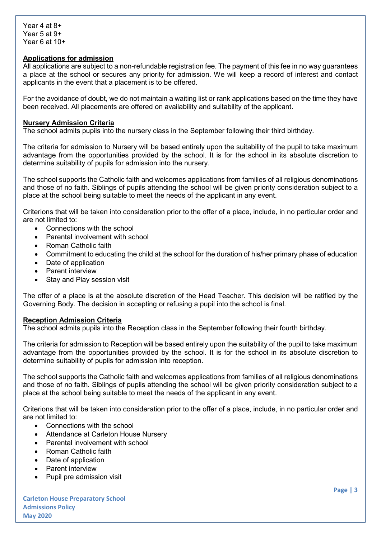# **Applications for admission**

All applications are subject to a non-refundable registration fee. The payment of this fee in no way guarantees a place at the school or secures any priority for admission. We will keep a record of interest and contact applicants in the event that a placement is to be offered.

For the avoidance of doubt, we do not maintain a waiting list or rank applications based on the time they have been received. All placements are offered on availability and suitability of the applicant.

#### **Nursery Admission Criteria**

The school admits pupils into the nursery class in the September following their third birthday.

The criteria for admission to Nursery will be based entirely upon the suitability of the pupil to take maximum advantage from the opportunities provided by the school. It is for the school in its absolute discretion to determine suitability of pupils for admission into the nursery.

The school supports the Catholic faith and welcomes applications from families of all religious denominations and those of no faith. Siblings of pupils attending the school will be given priority consideration subject to a place at the school being suitable to meet the needs of the applicant in any event.

Criterions that will be taken into consideration prior to the offer of a place, include, in no particular order and are not limited to:

- Connections with the school
- Parental involvement with school
- Roman Catholic faith
- Commitment to educating the child at the school for the duration of his/her primary phase of education
- Date of application
- Parent interview
- Stay and Play session visit

The offer of a place is at the absolute discretion of the Head Teacher. This decision will be ratified by the Governing Body. The decision in accepting or refusing a pupil into the school is final.

#### **Reception Admission Criteria**

The school admits pupils into the Reception class in the September following their fourth birthday.

The criteria for admission to Reception will be based entirely upon the suitability of the pupil to take maximum advantage from the opportunities provided by the school. It is for the school in its absolute discretion to determine suitability of pupils for admission into reception.

The school supports the Catholic faith and welcomes applications from families of all religious denominations and those of no faith. Siblings of pupils attending the school will be given priority consideration subject to a place at the school being suitable to meet the needs of the applicant in any event.

Criterions that will be taken into consideration prior to the offer of a place, include, in no particular order and are not limited to:

- Connections with the school
- Attendance at Carleton House Nursery
- Parental involvement with school
- Roman Catholic faith
- Date of application
- Parent interview
- Pupil pre admission visit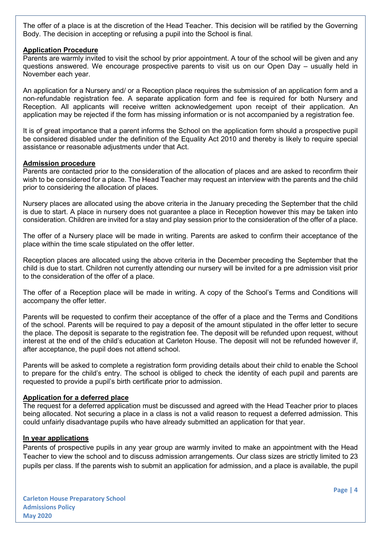The offer of a place is at the discretion of the Head Teacher. This decision will be ratified by the Governing Body. The decision in accepting or refusing a pupil into the School is final.

#### **Application Procedure**

Parents are warmly invited to visit the school by prior appointment. A tour of the school will be given and any questions answered. We encourage prospective parents to visit us on our Open Day – usually held in November each year.

An application for a Nursery and/ or a Reception place requires the submission of an application form and a non-refundable registration fee. A separate application form and fee is required for both Nursery and Reception. All applicants will receive written acknowledgement upon receipt of their application. An application may be rejected if the form has missing information or is not accompanied by a registration fee.

It is of great importance that a parent informs the School on the application form should a prospective pupil be considered disabled under the definition of the Equality Act 2010 and thereby is likely to require special assistance or reasonable adjustments under that Act.

#### **Admission procedure**

Parents are contacted prior to the consideration of the allocation of places and are asked to reconfirm their wish to be considered for a place. The Head Teacher may request an interview with the parents and the child prior to considering the allocation of places.

Nursery places are allocated using the above criteria in the January preceding the September that the child is due to start. A place in nursery does not guarantee a place in Reception however this may be taken into consideration. Children are invited for a stay and play session prior to the consideration of the offer of a place.

The offer of a Nursery place will be made in writing. Parents are asked to confirm their acceptance of the place within the time scale stipulated on the offer letter.

Reception places are allocated using the above criteria in the December preceding the September that the child is due to start. Children not currently attending our nursery will be invited for a pre admission visit prior to the consideration of the offer of a place.

The offer of a Reception place will be made in writing. A copy of the School's Terms and Conditions will accompany the offer letter.

Parents will be requested to confirm their acceptance of the offer of a place and the Terms and Conditions of the school. Parents will be required to pay a deposit of the amount stipulated in the offer letter to secure the place. The deposit is separate to the registration fee. The deposit will be refunded upon request, without interest at the end of the child's education at Carleton House. The deposit will not be refunded however if, after acceptance, the pupil does not attend school.

Parents will be asked to complete a registration form providing details about their child to enable the School to prepare for the child's entry. The school is obliged to check the identity of each pupil and parents are requested to provide a pupil's birth certificate prior to admission.

# **Application for a deferred place**

The request for a deferred application must be discussed and agreed with the Head Teacher prior to places being allocated. Not securing a place in a class is not a valid reason to request a deferred admission. This could unfairly disadvantage pupils who have already submitted an application for that year.

#### **In year applications**

Parents of prospective pupils in any year group are warmly invited to make an appointment with the Head Teacher to view the school and to discuss admission arrangements. Our class sizes are strictly limited to 23 pupils per class. If the parents wish to submit an application for admission, and a place is available, the pupil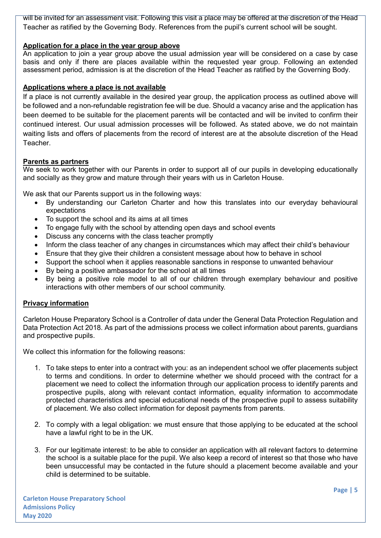will be invited for an assessment visit. Following this visit a place may be offered at the discretion of the Head Teacher as ratified by the Governing Body. References from the pupil's current school will be sought.

# **Application for a place in the year group above**

An application to join a year group above the usual admission year will be considered on a case by case basis and only if there are places available within the requested year group. Following an extended assessment period, admission is at the discretion of the Head Teacher as ratified by the Governing Body.

# **Applications where a place is not available**

If a place is not currently available in the desired year group, the application process as outlined above will be followed and a non-refundable registration fee will be due. Should a vacancy arise and the application has been deemed to be suitable for the placement parents will be contacted and will be invited to confirm their continued interest. Our usual admission processes will be followed. As stated above, we do not maintain waiting lists and offers of placements from the record of interest are at the absolute discretion of the Head Teacher.

# **Parents as partners**

We seek to work together with our Parents in order to support all of our pupils in developing educationally and socially as they grow and mature through their years with us in Carleton House.

We ask that our Parents support us in the following ways:

- By understanding our Carleton Charter and how this translates into our everyday behavioural expectations
- To support the school and its aims at all times
- To engage fully with the school by attending open days and school events
- Discuss any concerns with the class teacher promptly
- Inform the class teacher of any changes in circumstances which may affect their child's behaviour
- Ensure that they give their children a consistent message about how to behave in school
- Support the school when it applies reasonable sanctions in response to unwanted behaviour
- By being a positive ambassador for the school at all times
- By being a positive role model to all of our children through exemplary behaviour and positive interactions with other members of our school community.

# **Privacy information**

Carleton House Preparatory School is a Controller of data under the General Data Protection Regulation and Data Protection Act 2018. As part of the admissions process we collect information about parents, guardians and prospective pupils.

We collect this information for the following reasons:

- 1. To take steps to enter into a contract with you: as an independent school we offer placements subject to terms and conditions. In order to determine whether we should proceed with the contract for a placement we need to collect the information through our application process to identify parents and prospective pupils, along with relevant contact information, equality information to accommodate protected characteristics and special educational needs of the prospective pupil to assess suitability of placement. We also collect information for deposit payments from parents.
- 2. To comply with a legal obligation: we must ensure that those applying to be educated at the school have a lawful right to be in the UK.
- 3. For our legitimate interest: to be able to consider an application with all relevant factors to determine the school is a suitable place for the pupil. We also keep a record of interest so that those who have been unsuccessful may be contacted in the future should a placement become available and your child is determined to be suitable.